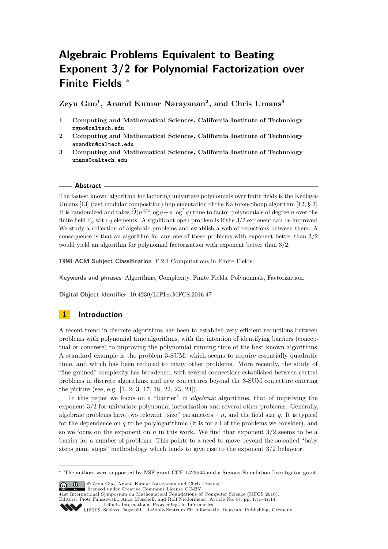# **Algebraic Problems Equivalent to Beating Exponent 3/2 for Polynomial Factorization over Finite Fields** <sup>∗</sup>

**Zeyu Guo<sup>1</sup> , Anand Kumar Narayanan<sup>2</sup> , and Chris Umans<sup>3</sup>**

- **1 Computing and Mathematical Sciences, California Institute of Technology zguo@caltech.edu**
- **2 Computing and Mathematical Sciences, California Institute of Technology anandkn@caltech.edu**
- **3 Computing and Mathematical Sciences, California Institute of Technology umans@caltech.edu**

#### **Abstract**

The fastest known algorithm for factoring univariate polynomials over finite fields is the Kedlaya-Umans [\[13\]](#page-12-0) (fast modular composition) implementation of the Kaltofen-Shoup algorithm [\[12,](#page-12-1) § 2]. It is randomized and takes  $\widetilde{O}(n^{3/2} \log q + n \log^2 q)$  time to factor polynomials of degree *n* over the finite field  $\mathbb{F}_q$  with q elements. A significant open problem is if the 3/2 exponent can be improved. We study a collection of algebraic problems and establish a web of reductions between them. A consequence is that an algorithm for any one of these problems with exponent better than 3*/*2 would yield an algorithm for polynomial factorization with exponent better than 3*/*2.

**1998 ACM Subject Classification** F.2.1 Computations in Finite Fields

**Keywords and phrases** Algorithms, Complexity, Finite Fields, Polynomials, Factorization.

**Digital Object Identifier** [10.4230/LIPIcs.MFCS.2016.47](http://dx.doi.org/10.4230/LIPIcs.MFCS.2016.47)

# **1 Introduction**

A recent trend in discrete algorithms has been to establish very efficient reductions between problems with polynomial time algorithms, with the intention of identifying barriers (conceptual or concrete) to improving the polynomial running time of the best known algorithms. A standard example is the problem 3-SUM, which seems to require essentially quadratic time, and which has been reduced to many other problems. More recently, the study of "fine-grained" complexity has broadened, with several connections established between central problems in discrete algorithms, and new conjectures beyond the 3-SUM conjecture entering the picture (see, e.g. [\[1,](#page-12-2) [2,](#page-12-3) [3,](#page-12-4) [17,](#page-12-5) [18,](#page-12-6) [22,](#page-12-7) [23,](#page-13-0) [24\]](#page-13-1)).

In this paper we focus on a "barrier" in *algebraic* algorithms, that of improving the exponent 3*/*2 for univariate polynomial factorization and several other problems. Generally, algebraic problems have two relevant "size" parameters –  $n$ , and the field size  $q$ . It is typical for the dependence on *q* to be polylogarithmic (it is for all of the problems we consider), and so we focus on the exponent on *n* in this work. We find that exponent 3*/*2 seems to be a barrier for a number of problems. This points to a need to move beyond the so-called "baby steps giant steps" methodology which tends to give rise to the exponent 3/2 behavior.

© Zeyu Guo, Anand Kumar Narayanan and Chris Umans; licensed under Creative Commons License CC-BY

<sup>41</sup>st International Symposium on Mathematical Foundations of Computer Science (MFCS 2016). Editors: Piotr Faliszewski, Anca Muscholl, and Rolf Niedermeier; Article No. 47; pp. 47:1–47[:14](#page-13-2)



<sup>∗</sup> The authors were supported by NSF grant CCF 1423544 and a Simons Foundation Investigator grant.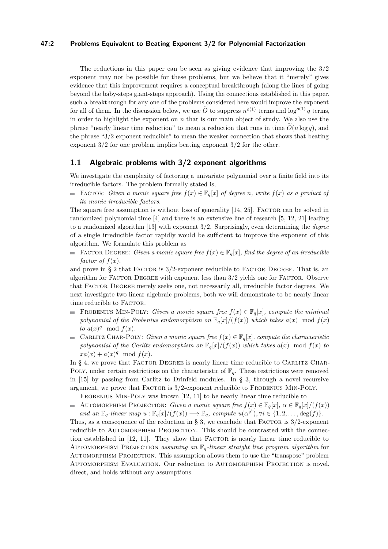#### **47:2 Problems Equivalent to Beating Exponent 3/2 for Polynomial Factorization**

The reductions in this paper can be seen as giving evidence that improving the 3/2 exponent may not be possible for these problems, but we believe that it "merely" gives evidence that this improvement requires a conceptual breakthrough (along the lines of going beyond the baby-steps giant-steps approach). Using the connections established in this paper, such a breakthrough for any one of the problems considered here would improve the exponent for all of them. In the discussion below, we use  $\widetilde{O}$  to suppress  $n^{o(1)}$  terms and log<sup>o(1)</sup> *q* terms, in order to highlight the exponent on *n* that is our main object of study. We also use the phrase "nearly linear time reduction" to mean a reduction that runs in time  $O(n \log q)$ , and the phrase "3/2 exponent reducible" to mean the weaker connection that shows that beating exponent 3/2 for one problem implies beating exponent 3/2 for the other.

#### **1.1 Algebraic problems with 3/2 exponent algorithms**

We investigate the complexity of factoring a univariate polynomial over a finite field into its irreducible factors. The problem formally stated is,

■ FACTOR: *Given a monic square free*  $f(x) \in \mathbb{F}_q[x]$  *of degree n, write*  $f(x)$  *as a product of its monic irreducible factors.*

The square free assumption is without loss of generality [\[14,](#page-12-8) [25\]](#page-13-3). FACTOR can be solved in randomized polynomial time [\[4\]](#page-12-9) and there is an extensive line of research [\[5,](#page-12-10) [12,](#page-12-1) [21\]](#page-12-11) leading to a randomized algorithm [\[13\]](#page-12-0) with exponent 3*/*2. Surprisingly, even determining the *degree* of a single irreducible factor rapidly would be sufficient to improve the exponent of this algorithm. We formulate this problem as

■ FACTOR DEGREE: *Given a monic square free*  $f(x) \in \mathbb{F}_q[x]$ *, find the degree of an irreducible factor of*  $f(x)$ *.* 

and prove in § [2](#page-2-0) that FACTOR is  $3/2$ -exponent reducible to FACTOR DEGREE. That is, an algorithm for Factor Degree with exponent less than 3*/*2 yields one for Factor. Observe that Factor Degree merely seeks one, not necessarily all, irreducible factor degrees. We next investigate two linear algebraic problems, both we will demonstrate to be nearly linear time reducible to FACTOR.

- FROBENIUS MIN-POLY: *Given a monic square free*  $f(x) \in \mathbb{F}_q[x]$ *, compute the minimal polynomial of the Frobenius endomorphism on*  $\mathbb{F}_q[x]/(f(x))$  *which takes*  $a(x) \mod f(x)$ *to*  $a(x)^q \mod f(x)$ .
- CARLITZ CHAR-POLY: *Given a monic square free*  $f(x) \in \mathbb{F}_q[x]$ *, compute the characteristic* m. *polynomial of the Carlitz endomorphism on*  $\mathbb{F}_q[x]/(f(x))$  *which takes*  $a(x) \mod f(x)$  *to*  $xa(x) + a(x)^q \mod f(x)$ .

In § [4,](#page-8-0) we prove that FACTOR DEGREE is nearly linear time reducible to CARLITZ CHAR-POLY, under certain restrictions on the characteristic of  $\mathbb{F}_q$ . These restrictions were removed in [\[15\]](#page-12-12) by passing from Carlitz to Drinfeld modules. In § [3,](#page-3-0) through a novel recursive argument, we prove that FACTOR is  $3/2$ -exponent reducible to FROBENIUS MIN-POLY.

FROBENIUS MIN-POLY was known [\[12,](#page-12-1) [11\]](#page-12-13) to be nearly linear time reducible to

AUTOMORPHISM PROJECTION: *Given a monic square free*  $f(x) \in \mathbb{F}_q[x]$ ,  $\alpha \in \mathbb{F}_q[x]/(f(x))$ and an  $\mathbb{F}_q$ -linear map  $u : \mathbb{F}_q[x]/(f(x)) \longrightarrow \mathbb{F}_q$ , compute  $u(\alpha^{q^i}), \forall i \in \{1, 2, ..., \deg(f)\}.$ 

Thus, as a consequence of the reduction in  $\S$  [3,](#page-3-0) we conclude that FACTOR is  $3/2$ -exponent reducible to AUTOMORPHISM PROJECTION. This should be contrasted with the connec-tion established in [\[12,](#page-12-1) [11\]](#page-12-13). They show that FACTOR is nearly linear time reducible to AUTOMORPHISM PROJECTION *assuming an*  $\mathbb{F}_q$ *-linear straight line program algorithm* for Automorphism Projection. This assumption allows them to use the "transpose" problem Automorphism Evaluation. Our reduction to Automorphism Projection is novel, direct, and holds without any assumptions.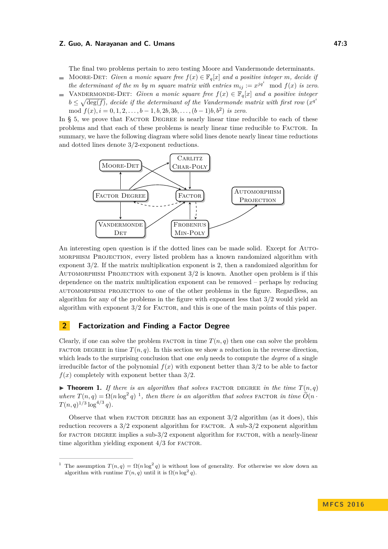#### **Z. Guo, A. Narayanan and C. Umans 47:3 47:3**

The final two problems pertain to zero testing Moore and Vandermonde determinants.

- MOORE-DET: *Given a monic square free*  $f(x) \in \mathbb{F}_q[x]$  *and a positive integer m, decide if*  $\rightarrow$ *the determinant of the m by m square matrix with entries*  $m_{ij} := x^{jq^i} \mod f(x)$  *is zero.*
- VANDERMONDE-DET: *Given a monic square free*  $f(x) \in \mathbb{F}_q[x]$  *and a positive integer*  $b \leq \sqrt{\deg(f)}$ , decide if the determinant of the Vandermonde matrix with first row  $(x^{q^i})$ mod  $f(x)$ ,  $i = 0, 1, 2, \ldots, b - 1, b, 2b, 3b, \ldots, (b - 1)b, b^2$  *is zero.*

In § [5,](#page-10-0) we prove that FACTOR DEGREE is nearly linear time reducible to each of these problems and that each of these problems is nearly linear time reducible to Factor. In summary, we have the following diagram where solid lines denote nearly linear time reductions and dotted lines denote 3*/*2-exponent reductions.



An interesting open question is if the dotted lines can be made solid. Except for Automorphism Projection, every listed problem has a known randomized algorithm with exponent 3*/*2. If the matrix multiplication exponent is 2, then a randomized algorithm for Automorphism Projection with exponent 3*/*2 is known. Another open problem is if this dependence on the matrix multiplication exponent can be removed – perhaps by reducing automorphism projection to one of the other problems in the figure. Regardless, an algorithm for any of the problems in the figure with exponent less that 3*/*2 would yield an algorithm with exponent  $3/2$  for FACTOR, and this is one of the main points of this paper.

# <span id="page-2-0"></span>**2 Factorization and Finding a Factor Degree**

Clearly, if one can solve the problem  $FACTOR$  in time  $T(n, q)$  then one can solve the problem FACTOR DEGREE in time  $T(n, q)$ . In this section we show a reduction in the reverse direction, which leads to the surprising conclusion that one *only* needs to compute the *degree* of a single irreducible factor of the polynomial  $f(x)$  with exponent better than  $3/2$  to be able to factor  $f(x)$  completely with exponent better than  $3/2$ .

**Findamerical Theorem 1.** If there is an algorithm that solves FACTOR DEGREE in the time  $T(n,q)$ *where*  $T(n,q) = \Omega(n \log^2 q)^{-1}$  $T(n,q) = \Omega(n \log^2 q)^{-1}$  $T(n,q) = \Omega(n \log^2 q)^{-1}$ , then there is an algorithm that solves FACTOR in time  $\widetilde{O}(n \cdot n)$  $T(n,q)^{1/3}\log^{4/3}q$ .

Observe that when FACTOR DEGREE has an exponent  $3/2$  algorithm (as it does), this reduction recovers a  $3/2$  exponent algorithm for FACTOR. A sub- $3/2$  exponent algorithm for FACTOR DEGREE implies a sub- $3/2$  exponent algorithm for FACTOR, with a nearly-linear time algorithm yielding exponent  $4/3$  for FACTOR.

<span id="page-2-1"></span><sup>&</sup>lt;sup>1</sup> The assumption  $T(n,q) = \Omega(n \log^2 q)$  is without loss of generality. For otherwise we slow down an algorithm with runtime  $T(n, q)$  until it is  $\Omega(n \log^2 q)$ .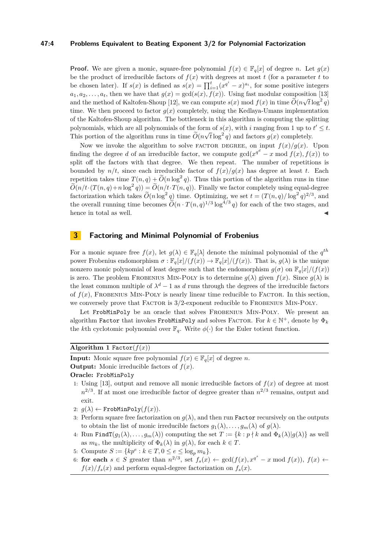#### **47:4 Problems Equivalent to Beating Exponent 3/2 for Polynomial Factorization**

**Proof.** We are given a monic, square-free polynomial  $f(x) \in \mathbb{F}_q[x]$  of degree *n*. Let  $g(x)$ be the product of irreducible factors of  $f(x)$  with degrees at most  $t$  (for a parameter  $t$  to be chosen later). If  $s(x)$  is defined as  $s(x) = \prod_{i=1}^{t} (x^{q^i} - x)^{a_i}$ , for some positive integers  $a_1, a_2, \ldots, a_t$ , then we have that  $g(x) = \gcd(s(x), f(x))$ . Using fast modular composition [\[13\]](#page-12-0) and the method of Kaltofen-Shoup [\[12\]](#page-12-1), we can compute  $s(x) \mod f(x)$  in time  $\widetilde{O}(n\sqrt{t}\log^2 q)$ time. We then proceed to factor  $g(x)$  completely, using the Kedlaya-Umans implementation of the Kaltofen-Shoup algorithm. The bottleneck in this algorithm is computing the splitting polynomials, which are all polynomials of the form of  $s(x)$ , with *i* ranging from 1 up to  $t' \leq t$ . This portion of the algorithm runs in time  $\widetilde{O}(n\sqrt{t}\log^2 q)$  and factors  $g(x)$  completely.

Now we invoke the algorithm to solve FACTOR DEGREE, on input  $f(x)/g(x)$ . Upon finding the degree *d* of an irreducible factor, we compute  $gcd(x^{q^d} - x \mod f(x), f(x))$  to split off the factors with that degree. We then repeat. The number of repetitions is bounded by  $n/t$ , since each irreducible factor of  $f(x)/g(x)$  has degree at least *t*. Each repetition takes time  $T(n,q) + \widetilde{O}(n \log^2 q)$ . Thus this portion of the algorithm runs in time  $\widetilde{O}(n/t\cdot(T(n,q)+n\log^2 q)) = \widetilde{O}(n/t\cdot T(n,q))$ . Finally we factor completely using equal-degree factorization which takes  $\widetilde{O}(n \log^2 q)$  time. Optimizing, we set  $t = (T(n,q)/\log^2 q)^{2/3}$ , and the overall running time becomes  $\widetilde{O}(n \cdot T(n,q)^{1/3} \log^{4/3} q)$  for each of the two stages, and hence in total as well.

## <span id="page-3-0"></span>**3 Factoring and Minimal Polynomial of Frobenius**

For a monic square free  $f(x)$ , let  $g(\lambda) \in \mathbb{F}_q[\lambda]$  denote the minimal polynomial of the  $q^{th}$ power Frobenius endomorphism  $\sigma : \mathbb{F}_q[x]/(f(x)) \to \mathbb{F}_q[x]/(f(x))$ . That is,  $q(\lambda)$  is the unique nonzero monic polynomial of least degree such that the endomorphism  $g(\sigma)$  on  $\mathbb{F}_q[x]/(f(x))$ is zero. The problem FROBENIUS MIN-POLY is to determine  $g(\lambda)$  given  $f(x)$ . Since  $g(\lambda)$  is the least common multiple of  $\lambda^d - 1$  as *d* runs through the degrees of the irreducible factors of  $f(x)$ , FROBENIUS MIN-POLY is nearly linear time reducible to FACTOR. In this section, we conversely prove that FACTOR is  $3/2$ -exponent reducible to FROBENIUS MIN-POLY.

Let FrobMinPoly be an oracle that solves FROBENIUS MIN-POLY. We present an algorithm Factor that invokes FrobMinPoly and solves FACTOR. For  $k \in \mathbb{N}^+$ , denote by  $\Phi_k$ the *k*th cyclotomic polynomial over  $\mathbb{F}_q$ . Write  $\phi(\cdot)$  for the Euler totient function.

<span id="page-3-1"></span>**Algorithm 1** Factor( $f(x)$ )

**Input:** Monic square free polynomial  $f(x) \in \mathbb{F}_q[x]$  of degree *n*.

**Output:** Monic irreducible factors of  $f(x)$ .

#### **Oracle:** FrobMinPoly

- 1: Using [\[13\]](#page-12-0), output and remove all monic irreducible factors of  $f(x)$  of degree at most  $n^{2/3}$ . If at most one irreducible factor of degree greater than  $n^{2/3}$  remains, output and exit.
- 2:  $g(\lambda) \leftarrow \text{FrobMinPoly}(f(x)).$
- 3: Perform square free factorization on  $g(\lambda)$ , and then run Factor recursively on the outputs to obtain the list of monic irreducible factors  $q_1(\lambda), \ldots, q_m(\lambda)$  of  $q(\lambda)$ .
- 4: Run Find  $T(g_1(\lambda), \ldots, g_m(\lambda))$  computing the set  $T := \{k : p \nmid k \text{ and } \Phi_k(\lambda) | g(\lambda) \}$  as well as  $m_k$ , the multiplicity of  $\Phi_k(\lambda)$  in  $g(\lambda)$ , for each  $k \in T$ .
- 5: Compute  $S := \{ kp^e : k \in T, 0 \le e \le \log_p m_k \}.$
- 6: **for each**  $s \in S$  greater than  $n^{2/3}$ , set  $f_s(x) \leftarrow \gcd(f(x), x^{q^s} x \mod f(x))$ ,  $f(x) \leftarrow$  $f(x)/f_s(x)$  and perform equal-degree factorization on  $f_s(x)$ .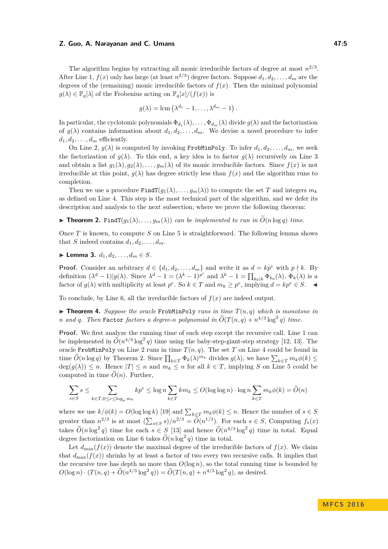#### **Z. Guo, A. Narayanan and C. Umans 47:5 47:5**

The algorithm begins by extracting all monic irreducible factors of degree at most  $n^{2/3}$ . After Line 1,  $f(x)$  only has large (at least  $n^{2/3}$ ) degree factors. Suppose  $d_1, d_2, \ldots, d_m$  are the degrees of the (remaining) monic irreducible factors of  $f(x)$ . Then the minimal polynomial  $g(\lambda) \in \mathbb{F}_q[\lambda]$  of the Frobenius acting on  $\mathbb{F}_q[x]/(f(x))$  is

$$
g(\lambda) = \text{lcm} \left( \lambda^{d_1} - 1, \dots, \lambda^{d_m} - 1 \right).
$$

In particular, the cyclotomic polynomials  $\Phi_{d_1}(\lambda), \ldots, \Phi_{d_m}(\lambda)$  divide  $g(\lambda)$  and the factorization of  $g(\lambda)$  contains information about  $d_1, d_2, \ldots, d_m$ . We devise a novel procedure to infer  $d_1, d_2, \ldots, d_m$  efficiently.

On Line 2,  $g(\lambda)$  is computed by invoking FrobMinPoly. To infer  $d_1, d_2, \ldots, d_m$ , we seek the factorization of  $g(\lambda)$ . To this end, a key idea is to factor  $g(\lambda)$  recursively on Line 3 and obtain a list  $g_1(\lambda), g_2(\lambda), \ldots, g_m(\lambda)$  of its monic irreducible factors. Since  $f(x)$  is not irreducible at this point,  $g(\lambda)$  has degree strictly less than  $f(x)$  and the algorithm runs to completion.

Then we use a procedure  $\text{FindT}(g_1(\lambda), \ldots, g_m(\lambda))$  to compute the set *T* and integers  $m_k$ as defined on Line 4. This step is the most technical part of the algorithm, and we defer its description and analysis to the next subsection, where we prove the following theorem:

<span id="page-4-0"></span>**Find Theorem 2.** Find  $T(g_1(\lambda), \ldots, g_m(\lambda))$  *can be implemented to run in*  $\tilde{O}(n \log q)$  *time.* 

Once *T* is known, to compute *S* on Line 5 is straightforward. The following lemma shows that *S* indeed contains  $d_1, d_2, \ldots, d_m$ .

▶ **Lemma 3.**  $d_1, d_2, ..., d_m \in S$ .

**Proof.** Consider an arbitrary  $d \in \{d_1, d_2, \ldots, d_m\}$  and write it as  $d = kp^e$  with  $p \nmid k$ . By definition  $(\lambda^d - 1)|g(\lambda)$ . Since  $\lambda^d - 1 = (\lambda^k - 1)^{p^e}$  and  $\lambda^k - 1 = \prod_{k_0|k} \Phi_{k_0}(\lambda)$ ,  $\Phi_k(\lambda)$  is a factor of  $g(\lambda)$  with multiplicity at least  $p^e$ . So  $k \in T$  and  $m_k \geq p^e$ , implying  $d = kp^e \in S$ .

To conclude, by Line 6, all the irreducible factors of  $f(x)$  are indeed output.

 $\triangleright$  **Theorem 4.** *Suppose the oracle* FrobMinPoly *runs in time*  $T(n, q)$  *which is monotone in n* and *q*. Then Factor *factors a degree-n polynomial in*  $\widetilde{O}(T(n,q) + n^{4/3} \log^2 q)$  *time.* 

**Proof.** We first analyze the running time of each step except the recursive call. Line 1 can be implemented in  $\widetilde{O}(n^{4/3} \log^2 q)$  time using the baby-step-giant-step strategy [\[12,](#page-12-1) [13\]](#page-12-0). The oracle FrobMinPoly on Line 2 runs in time  $T(n, q)$ . The set *T* on Line 4 could be found in time  $O(n \log q)$  by Theorem [2.](#page-4-0) Since  $\prod_{k \in T} \Phi_k(\lambda)^{m_k}$  divides  $g(\lambda)$ , we have  $\sum_{k \in T} m_k \phi(k) \le$  $deg(g(\lambda)) \leq n$ . Hence  $|T| \leq n$  and  $m_k \leq n$  for all  $k \in T$ , implying *S* on Line 5 could be computed in time  $O(n)$ . Further,

$$
\sum_{s \in S} s \leq \sum_{k \in T, 0 \leq e \leq \log_p m_k} kp^e \leq \log n \sum_{k \in T} km_k \leq O(\log \log n) \cdot \log n \sum_{k \in T} m_k \phi(k) = \widetilde{O}(n)
$$

where we use  $k/\phi(k) = O(\log \log k)$  [\[19\]](#page-12-14) and  $\sum_{k \in T} m_k \phi(k) \leq n$ . Hence the number of  $s \in S$ greater than  $n^{2/3}$  is at most  $(\sum_{s \in S} s)/n^{2/3} = \widetilde{O}(n^{1/3})$ . For each  $s \in S$ , Computing  $f_s(x)$ takes  $\widetilde{O}(n \log^2 q)$  time for each  $s \in S$  [\[13\]](#page-12-0) and hence  $\widetilde{O}(n^{4/3} \log^2 q)$  time in total. Equal degree factorization on Line 6 takes  $\widetilde{O}(n \log^2 q)$  time in total.

Let  $d_{\text{max}}(f(x))$  denote the maximal degree of the irreducible factors of  $f(x)$ . We claim that  $d_{\text{max}}(f(x))$  shrinks by at least a factor of two every two recursive calls. It implies that the recursive tree has depth no more than  $O(\log n)$ , so the total running time is bounded by  $O(\log n) \cdot (T(n,q) + \widetilde{O}(n^{4/3} \log^2 q)) = \widetilde{O}(T(n,q) + n^{4/3} \log^2 q)$ , as desired.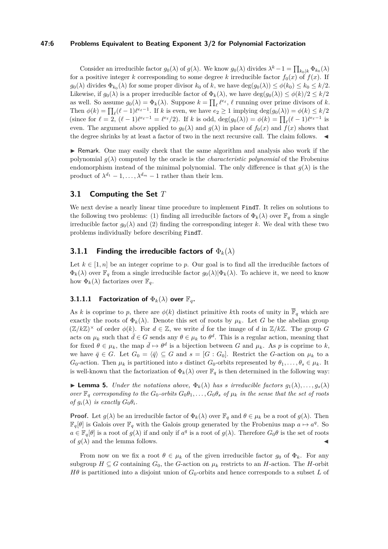#### **47:6 Problems Equivalent to Beating Exponent 3/2 for Polynomial Factorization**

Consider an irreducible factor  $g_0(\lambda)$  of  $g(\lambda)$ . We know  $g_0(\lambda)$  divides  $\lambda^k - 1 = \prod_{k_0|k} \Phi_{k_0}(\lambda)$ for a positive integer *k* corresponding to some degree *k* irreducible factor  $f_0(x)$  of  $f(x)$ . If  $g_0(\lambda)$  divides  $\Phi_{k_0}(\lambda)$  for some proper divisor  $k_0$  of  $k$ , we have  $\deg(g_0(\lambda)) \leq \phi(k_0) \leq k_0 \leq k/2$ . Likewise, if  $g_0(\lambda)$  is a proper irreducible factor of  $\Phi_k(\lambda)$ , we have  $\deg(g_0(\lambda)) \leq \phi(k)/2 \leq k/2$ as well. So assume  $g_0(\lambda) = \Phi_k(\lambda)$ . Suppose  $k = \prod_{\ell} \ell^{e_{\ell}}, \ell$  running over prime divisors of *k*. Then  $\phi(k) = \prod_{\ell} (\ell - 1)\ell^{e_{\ell}-1}$ . If *k* is even, we have  $e_2 \geq 1$  implying  $\deg(g_0(\lambda)) = \phi(k) \leq k/2$ (since for  $\ell = 2$ ,  $(\ell - 1)\ell^{e_{\ell}-1} = \ell^{e_{\ell}}/2$ ). If k is odd,  $\deg(g_0(\lambda)) = \phi(k) = \prod_{\ell} (\ell - 1)\ell^{e_{\ell}-1}$  is even. The argument above applied to  $g_0(\lambda)$  and  $g(\lambda)$  in place of  $f_0(x)$  and  $f(x)$  shows that the degree shrinks by at least a factor of two in the next recursive call. The claim follows.  $\blacktriangleleft$ 

I Remark. One may easily check that the same algorithm and analysis also work if the polynomial  $g(\lambda)$  computed by the oracle is the *characteristic polynomial* of the Frobenius endomorphism instead of the minimal polynomial. The only difference is that  $g(\lambda)$  is the product of  $\lambda^{d_1} - 1, \ldots, \lambda^{d_m} - 1$  rather than their lcm.

# **3.1 Computing the Set** *T*

We next devise a nearly linear time procedure to implement FindT. It relies on solutions to the following two problems: (1) finding all irreducible factors of  $\Phi_k(\lambda)$  over  $\mathbb{F}_q$  from a single irreducible factor  $g_0(\lambda)$  and (2) finding the corresponding integer k. We deal with these two problems individually before describing FindT.

# **3.1.1 Finding the irreducible factors of** Φ*k*(*λ*)

Let  $k \in [1, n]$  be an integer coprime to p. Our goal is to find all the irreducible factors of  $\Phi_k(\lambda)$  over  $\mathbb{F}_q$  from a single irreducible factor  $g_0(\lambda)|\Phi_k(\lambda)$ . To achieve it, we need to know how  $\Phi_k(\lambda)$  factorizes over  $\mathbb{F}_q$ .

# **3.1.1.1 Factorization of**  $\Phi_k(\lambda)$  over  $\mathbb{F}_q$ .

As *k* is coprime to *p*, there are  $\phi(k)$  distinct primitive *k*th roots of unity in  $\overline{\mathbb{F}}_q$  which are exactly the roots of  $\Phi_k(\lambda)$ . Denote this set of roots by  $\mu_k$ . Let *G* be the abelian group  $(\mathbb{Z}/k\mathbb{Z})^{\times}$  of order  $\phi(k)$ . For  $d \in \mathbb{Z}$ , we write  $\bar{d}$  for the image of  $d$  in  $\mathbb{Z}/k\mathbb{Z}$ . The group  $G$ acts on  $\mu_k$  such that  $\bar{d} \in G$  sends any  $\theta \in \mu_k$  to  $\theta^d$ . This is a regular action, meaning that for fixed  $\theta \in \mu_k$ , the map  $\bar{d} \mapsto \theta^d$  is a bijection between *G* and  $\mu_k$ . As *p* is coprime to *k*, we have  $\bar{q} \in G$ . Let  $G_0 = \langle \bar{q} \rangle \subseteq G$  and  $s = [G : G_0]$ . Restrict the *G*-action on  $\mu_k$  to a  $G_0$ -action. Then  $\mu_k$  is partitioned into *s* distinct  $G_0$ -orbits represented by  $\theta_1, \ldots, \theta_s \in \mu_k$ . It is well-known that the factorization of  $\Phi_k(\lambda)$  over  $\mathbb{F}_q$  is then determined in the following way:

<span id="page-5-0"></span>**Example 5.** *Under the notations above,*  $\Phi_k(\lambda)$  *has a irreducible factors*  $g_1(\lambda), \ldots, g_s(\lambda)$ *over*  $\mathbb{F}_q$  *corresponding to the*  $G_0$ -*orbits*  $G_0\theta_1, \ldots, G_0\theta_s$  *of*  $\mu_k$  *in the sense that the set of roots of*  $g_i(\lambda)$  *is exactly*  $G_0\theta_i$ *.* 

**Proof.** Let  $g(\lambda)$  be an irreducible factor of  $\Phi_k(\lambda)$  over  $\mathbb{F}_q$  and  $\theta \in \mu_k$  be a root of  $g(\lambda)$ . Then  $\mathbb{F}_q[\theta]$  is Galois over  $\mathbb{F}_q$  with the Galois group generated by the Frobenius map  $a \mapsto a^q$ . So  $a \in \mathbb{F}_q[\theta]$  is a root of  $g(\lambda)$  if and only if  $a^q$  is a root of  $g(\lambda)$ . Therefore  $G_0\theta$  is the set of roots of  $g(\lambda)$  and the lemma follows.

From now on we fix a root  $\theta \in \mu_k$  of the given irreducible factor  $g_0$  of  $\Phi_k$ . For any subgroup  $H \subseteq G$  containing  $G_0$ , the *G*-action on  $\mu_k$  restricts to an *H*-action. The *H*-orbit *Hθ* is partitioned into a disjoint union of  $G_0$ -orbits and hence corresponds to a subset *L* of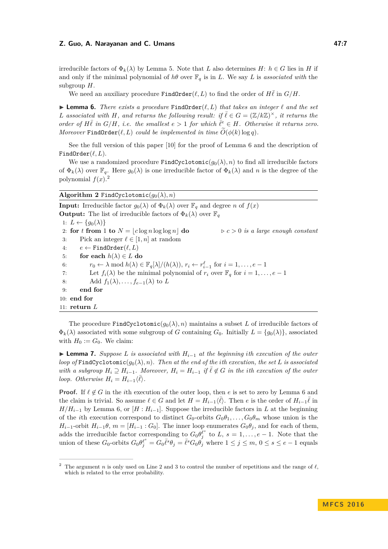#### **Z. Guo, A. Narayanan and C. Umans 47:7 47:7**

irreducible factors of  $\Phi_k(\lambda)$  by Lemma [5.](#page-5-0) Note that *L* also determines *H*:  $h \in G$  lies in *H* if and only if the minimal polynomial of  $h\theta$  over  $\mathbb{F}_q$  is in *L*. We say *L* is *associated with* the subgroup *H*.

We need an auxiliary procedure  $\text{FindOrder}(\ell, L)$  to find the order of  $H\bar{\ell}$  in  $G/H$ .

<span id="page-6-0"></span> $\triangleright$  **Lemma 6.** *There exists a procedure* FindOrder( $\ell, L$ ) *that takes an integer*  $\ell$  *and the set L* associated with *H*, and returns the following result: if  $\overline{\ell} \in G = (\mathbb{Z}/k\mathbb{Z})^{\times}$ , it returns the *order of*  $H\bar{\ell}$  *in*  $G/H$ *, i.e. the smallest*  $e > 1$  *for which*  $\bar{\ell}^e \in H$ *. Otherwise it returns zero. Moreover* FindOrder $(\ell, L)$  *could be implemented in time*  $O(\phi(k) \log q)$ *.* 

See the full version of this paper [\[10\]](#page-12-15) for the proof of Lemma [6](#page-6-0) and the description of Find $\text{Order}(\ell, L)$ .

We use a randomized procedure  $FindCyclotomic(g_0(\lambda), n)$  to find all irreducible factors of  $\Phi_k(\lambda)$  over  $\mathbb{F}_q$ . Here  $g_0(\lambda)$  is one irreducible factor of  $\Phi_k(\lambda)$  and *n* is the degree of the polynomial  $f(x)$ .<sup>[2](#page-6-1)</sup>

**Algorithm 2** FindCyclotomic( $g_0(\lambda), n$ )

**Input:** Irreducible factor  $g_0(\lambda)$  of  $\Phi_k(\lambda)$  over  $\mathbb{F}_q$  and degree *n* of  $f(x)$ **Output:** The list of irreducible factors of  $\Phi_k(\lambda)$  over  $\mathbb{F}_q$ 1:  $L \leftarrow \{g_0(\lambda)\}\$ 2: **for** *t* **from** 1 **to**  $N = |c \log n \log \log n|$  **do**  $c > 0$  *is a large enough constant* 3: Pick an integer  $\ell \in [1, n]$  at random 4:  $e \leftarrow \text{FindOrder}(\ell, L)$ 5: **for each**  $h(\lambda) \in L$  **do** 6:  $r_0 \leftarrow \lambda \mod h(\lambda) \in \mathbb{F}_q[\lambda]/(h(\lambda)), r_i \leftarrow r_{i-1}^{\ell} \text{ for } i = 1, \ldots, e-1$ 7: Let  $f_i(\lambda)$  be the minimal polynomial of  $r_i$  over  $\mathbb{F}_q$  for  $i = 1, \ldots, e-1$ 8: Add  $f_1(\lambda), \ldots, f_{e-1}(\lambda)$  to *L* 9: **end for** 10: **end for** 11: **return** *L*

The procedure FindCyclotomic $(g_0(\lambda), n)$  maintains a subset *L* of irreducible factors of  $\Phi_k(\lambda)$  associated with some subgroup of *G* containing  $G_0$ . Initially  $L = \{q_0(\lambda)\}\)$ , associated with  $H_0 := G_0$ . We claim:

<span id="page-6-2"></span>**► Lemma 7.** Suppose *L* is associated with  $H_{i-1}$  at the beginning ith execution of the outer *loop of* FindCyclotomic( $g_0(\lambda), n$ ). Then at the end of the *i*th execution, the set *L* is associated *with a subgroup*  $H_i \supseteq H_{i-1}$ . Moreover,  $H_i = H_{i-1}$  if  $\overline{\ell} \notin G$  in the *i*th execution of the outer *loop. Otherwise*  $H_i = H_{i-1}\langle \bar{\ell} \rangle$ *.* 

**Proof.** If  $\ell \notin G$  in the *i*th execution of the outer loop, then *e* is set to zero by Lemma [6](#page-6-0) and the claim is trivial. So assume  $\ell \in G$  and let  $H = H_{i-1}\langle \overline{\ell} \rangle$ . Then *e* is the order of  $H_{i-1}\overline{\ell}$  in  $H/H_{i-1}$  by Lemma [6,](#page-6-0) or  $[H:H_{i-1}]$ . Suppose the irreducible factors in *L* at the beginning of the *i*th execution correspond to distinct  $G_0$ -orbits  $G_0\theta_1, \ldots, G_0\theta_m$  whose union is the *H*<sub>*i*</sub>−1</sub>-orbit *H*<sub>*i*</sub><sup>−1</sup>*θ*, *m* = [*H*<sub>*i*</sub>−1</sub> : *G*<sub>0</sub>]. The inner loop enumerates  $G_0\theta_j$ , and for each of them, adds the irreducible factor corresponding to  $G_0 \theta_j^{\ell^s}$  to *L*,  $s = 1, \ldots, e-1$ . Note that the union of these  $G_0$ -orbits  $G_0 \theta_j^{\ell^s} = G_0 \bar{\ell}^s \theta_j = \bar{\ell}^s G_0 \theta_j$  where  $1 \leq j \leq m, 0 \leq s \leq e-1$  equals

<span id="page-6-1"></span><sup>&</sup>lt;sup>2</sup> The argument *n* is only used on Line 2 and 3 to control the number of repetitions and the range of  $\ell$ , which is related to the error probability.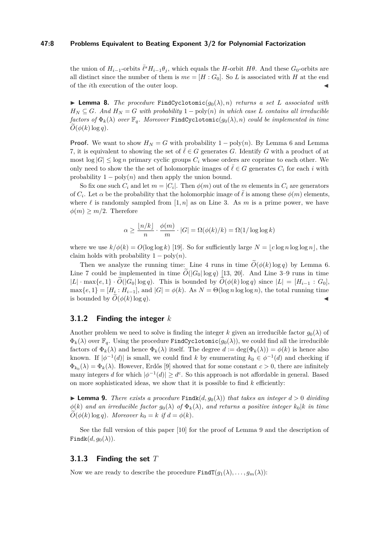#### **47:8 Problems Equivalent to Beating Exponent 3/2 for Polynomial Factorization**

the union of  $H_{i-1}$ -orbits  $\bar{\ell}^s H_{i-1} \theta_j$ , which equals the *H*-orbit  $H\theta$ . And these  $G_0$ -orbits are all distinct since the number of them is  $me = [H : G_0]$ . So *L* is associated with *H* at the end of the *i*th execution of the outer loop.

<span id="page-7-1"></span>**I Lemma 8.** *The procedure* FindCyclotomic( $g_0(\lambda), n$ ) *returns a set L associated with*  $H_N \subseteq G$ *. And*  $H_N = G$  *with probability* 1 – poly(*n*) *in which case L contains all irreducible factors of*  $\Phi_k(\lambda)$  *over*  $\mathbb{F}_q$ *. Moreover* FindCyclotomic( $g_0(\lambda), n$ ) *could be implemented in time*  $O(\phi(k) \log q)$ .

**Proof.** We want to show  $H_N = G$  with probability  $1 - \text{poly}(n)$ . By Lemma [6](#page-6-0) and Lemma [7,](#page-6-2) it is equivalent to showing the set of  $\ell \in G$  generates *G*. Identify *G* with a product of at most  $\log |G| \leq \log n$  primary cyclic groups  $C_i$  whose orders are coprime to each other. We only need to show the the set of holomorphic images of  $\overline{\ell} \in G$  generates  $C_i$  for each *i* with probability  $1 - \text{poly}(n)$  and then apply the union bound.

So fix one such  $C_i$  and let  $m = |C_i|$ . Then  $\phi(m)$  out of the  $m$  elements in  $C_i$  are generators of  $C_i$ . Let  $\alpha$  be the probability that the holomorphic image of  $\overline{\ell}$  is among these  $\phi(m)$  elements, where  $\ell$  is randomly sampled from  $[1, n]$  as on Line 3. As m is a prime power, we have  $\phi(m) \geq m/2$ . Therefore

$$
\alpha \ge \frac{\lfloor n/k \rfloor}{n} \cdot \frac{\phi(m)}{m} \cdot |G| = \Omega(\phi(k)/k) = \Omega(1/\log \log k)
$$

where we use  $k/\phi(k) = O(\log \log k)$  [\[19\]](#page-12-14). So for sufficiently large  $N = |c \log n \log \log n|$ , the claim holds with probability  $1 - \text{poly}(n)$ .

Then we analyze the running time: Line 4 runs in time  $O(\phi(k) \log q)$  by Lemma [6.](#page-6-0) Line 7 could be implemented in time  $\tilde{O}(|G_0| \log q)$  [\[13,](#page-12-0) [20\]](#page-12-16). And Line 3–9 runs in time |*L*| · max{ $e$ , 1} ·  $\tilde{O}(|G_0| \log q)$ . This is bounded by  $\tilde{O}(\phi(k) \log q)$  since  $|L| = [H_{i-1} : G_0]$ ,  $\max\{e, 1\} = [H_i : H_{i-1}],$  and  $|G| = \phi(k)$ . As  $N = \Theta(\log n \log \log n)$ , the total running time is bounded by  $O(\phi(k) \log q)$ .

#### **3.1.2 Finding the integer** *k*

Another problem we need to solve is finding the integer k given an irreducible factor  $g_0(\lambda)$  of  $\Phi_k(\lambda)$  over  $\mathbb{F}_q$ . Using the procedure FindCyclotomic( $g_0(\lambda)$ ), we could find all the irreducible factors of  $\Phi_k(\lambda)$  and hence  $\Phi_k(\lambda)$  itself. The degree  $d := \deg(\Phi_k(\lambda)) = \phi(k)$  is hence also known. If  $|\phi^{-1}(d)|$  is small, we could find *k* by enumerating  $k_0 \in \phi^{-1}(d)$  and checking if  $\Phi_{k_0}(\lambda) = \Phi_k(\lambda)$ . However, Erdős [\[9\]](#page-12-17) showed that for some constant  $c > 0$ , there are infinitely many integers *d* for which  $|\phi^{-1}(d)| \geq d^c$ . So this approach is not affordable in general. Based on more sophisticated ideas, we show that it is possible to find *k* efficiently:

<span id="page-7-0"></span>**Lemma 9.** *There exists a procedure* Findk $(d, g_0(\lambda))$  *that takes an integer*  $d > 0$  *dividing*  $\phi(k)$  *and an irreducible factor*  $g_0(\lambda)$  *of*  $\Phi_k(\lambda)$ *, and returns a positive integer*  $k_0|k$  *in time*  $O(\phi(k) \log q)$ *. Moreover*  $k_0 = k$  *if*  $d = \phi(k)$ *.* 

See the full version of this paper [\[10\]](#page-12-15) for the proof of Lemma [9](#page-7-0) and the description of Findk $(d, g_0(\lambda))$ .

#### **3.1.3 Finding the set** *T*

Now we are ready to describe the procedure  $\text{FindT}(g_1(\lambda), \ldots, g_m(\lambda))$ :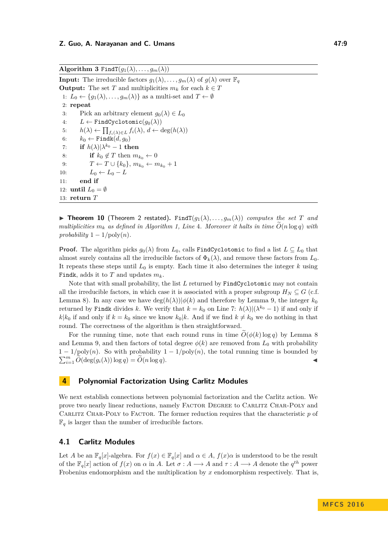**Algorithm 3** FindT $(g_1(\lambda), \ldots, g_m(\lambda))$ 

**Input:** The irreducible factors  $g_1(\lambda), \ldots, g_m(\lambda)$  of  $g(\lambda)$  over  $\mathbb{F}_q$ **Output:** The set *T* and multiplicities  $m_k$  for each  $k \in T$ 1:  $L_0 \leftarrow \{g_1(\lambda), \ldots, g_m(\lambda)\}\$ as a multi-set and  $T \leftarrow \emptyset$ 2: **repeat** 3: Pick an arbitrary element  $q_0(\lambda) \in L_0$ 4:  $L \leftarrow \text{FindCyclotomic}(q_0(\lambda))$ 5:  $h(\lambda) \leftarrow \prod_{f_i(\lambda) \in L} f_i(\lambda), d \leftarrow \deg(h(\lambda))$ 6:  $k_0 \leftarrow \text{Findk}(d, g_0)$ 7: **if**  $h(\lambda)|\lambda^{k_0} - 1$  **then** 8: **if**  $k_0 \notin T$  then  $m_{k_0} \leftarrow 0$ 9:  $T \leftarrow T \cup \{k_0\}, m_{k_0} \leftarrow m_{k_0} + 1$ 10:  $L_0 \leftarrow L_0 - L$ 11: **end if** 12: **until**  $L_0 = \emptyset$ 13: **return** *T*

**Find Theorem 10** (Theorem [2](#page-4-0) restated). Find  $T(q_1(\lambda), \ldots, q_m(\lambda))$  *computes the set T* and *multiplicities*  $m_k$  *as defined in Algorithm [1,](#page-3-1) Line 4. Moreover it halts in time*  $\hat{O}(n \log q)$  *with probability*  $1 - 1/\text{poly}(n)$ *.* 

**Proof.** The algorithm picks  $g_0(\lambda)$  from  $L_0$ , calls FindCyclotomic to find a list  $L \subseteq L_0$  that almost surely contains all the irreducible factors of  $\Phi_k(\lambda)$ , and remove these factors from  $L_0$ . It repeats these steps until  $L_0$  is empty. Each time it also determines the integer  $k$  using Findk, adds it to *T* and updates *mk*.

Note that with small probability, the list *L* returned by FindCyclotomic may not contain all the irreducible factors, in which case it is associated with a proper subgroup  $H_N \subseteq G$  (c.f. Lemma [8\)](#page-7-1). In any case we have  $\deg(h(\lambda))|\phi(k)$  and therefore by Lemma [9,](#page-7-0) the integer  $k_0$ returned by Findk divides *k*. We verify that  $k = k_0$  on Line 7:  $h(\lambda)|(\lambda^{k_0} - 1)$  if and only if  $k|k_0$  if and only if  $k = k_0$  since we know  $k_0|k$ . And if we find  $k \neq k_0$  we do nothing in that round. The correctness of the algorithm is then straightforward.

For the running time, note that each round runs in time  $O(\phi(k) \log q)$  by Lemma [8](#page-7-1) and Lemma [9,](#page-7-0) and then factors of total degree  $\phi(k)$  are removed from  $L_0$  with probability  $1 - 1/\text{poly}(n)$ . So with probability  $1 - 1/\text{poly}(n)$ , the total running time is bounded by  $\sum_{i=1}^{m} \widetilde{O}(\deg(g_i(\lambda)) \log q) = \widetilde{O}(n \log q).$ 

# <span id="page-8-0"></span>**4 Polynomial Factorization Using Carlitz Modules**

We next establish connections between polynomial factorization and the Carlitz action. We prove two nearly linear reductions, namely Factor Degree to Carlitz Char-Poly and CARLITZ CHAR-POLY to FACTOR. The former reduction requires that the characteristic p of  $\mathbb{F}_q$  is larger than the number of irreducible factors.

# **4.1 Carlitz Modules**

Let *A* be an  $\mathbb{F}_q[x]$ -algebra. For  $f(x) \in \mathbb{F}_q[x]$  and  $\alpha \in A$ ,  $f(x)\alpha$  is understood to be the result of the  $\mathbb{F}_q[x]$  action of  $f(x)$  on  $\alpha$  in *A*. Let  $\sigma: A \longrightarrow A$  and  $\tau: A \longrightarrow A$  denote the  $q^{th}$  power Frobenius endomorphism and the multiplication by *x* endomorphism respectively. That is,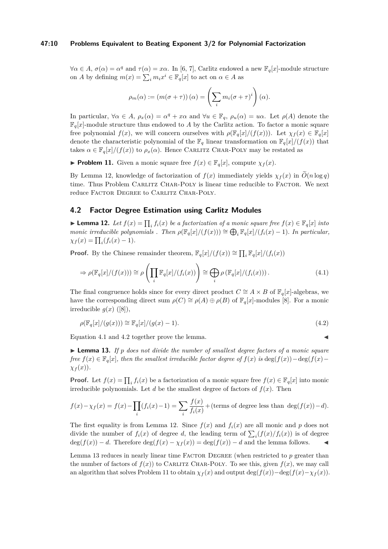#### **47:10 Problems Equivalent to Beating Exponent 3/2 for Polynomial Factorization**

 $\forall \alpha \in A, \sigma(\alpha) = \alpha^q$  and  $\tau(\alpha) = x\alpha$ . In [\[6,](#page-12-18) [7\]](#page-12-19), Carlitz endowed a new  $\mathbb{F}_q[x]$ -module structure on *A* by defining  $m(x) = \sum_{i} m_i x^i \in \mathbb{F}_q[x]$  to act on  $\alpha \in A$  as

$$
\rho_m(\alpha) := (m(\sigma + \tau))(\alpha) = \left(\sum_i m_i(\sigma + \tau)^i\right)(\alpha).
$$

In particular,  $\forall \alpha \in A$ ,  $\rho_x(\alpha) = \alpha^q + x\alpha$  and  $\forall u \in \mathbb{F}_q$ ,  $\rho_u(\alpha) = u\alpha$ . Let  $\rho(A)$  denote the  $\mathbb{F}_q[x]$ -module structure thus endowed to *A* by the Carlitz action. To factor a monic square free polynomial  $f(x)$ , we will concern ourselves with  $\rho(\mathbb{F}_q[x]/(f(x)))$ . Let  $\chi_f(x) \in \mathbb{F}_q[x]$ denote the characteristic polynomial of the  $\mathbb{F}_q$  linear transformation on  $\mathbb{F}_q[x]/(f(x))$  that takes  $\alpha \in \mathbb{F}_q[x]/(f(x))$  to  $\rho_x(\alpha)$ . Hence CARLITZ CHAR-POLY may be restated as

<span id="page-9-4"></span>**► Problem 11.** Given a monic square free  $f(x) \in \mathbb{F}_q[x]$ , compute  $\chi_f(x)$ .

By Lemma [12,](#page-9-0) knowledge of factorization of  $f(x)$  immediately yields  $\chi_f(x)$  in  $\tilde{O}(n \log q)$ time. Thus Problem CARLITZ CHAR-POLY is linear time reducible to FACTOR. We next reduce FACTOR DEGREE to CARLITZ CHAR-POLY.

### **4.2 Factor Degree Estimation using Carlitz Modules**

<span id="page-9-0"></span>► **Lemma 12.** *Let*  $f(x) = \prod_i f_i(x)$  *be a factorization of a monic square free*  $f(x) \in \mathbb{F}_q[x]$  *into monic irreducible polynomials . Then*  $\rho(\mathbb{F}_q[x]/(f(x))) \cong \bigoplus_i \mathbb{F}_q[x]/(f_i(x) - 1)$ *. In particular,*  $\chi_f(x) = \prod_i (f_i(x) - 1).$ 

**Proof.** By the Chinese remainder theorem,  $\mathbb{F}_q[x]/(f(x)) \cong \prod_i \mathbb{F}_q[x]/(f_i(x))$ 

<span id="page-9-1"></span>
$$
\Rightarrow \rho(\mathbb{F}_q[x]/(f(x))) \cong \rho\left(\prod_i \mathbb{F}_q[x]/(f_i(x))\right) \cong \bigoplus_i \rho\left(\mathbb{F}_q[x]/(f_i(x))\right). \tag{4.1}
$$

The final congruence holds since for every direct product  $C \cong A \times B$  of  $\mathbb{F}_q[x]$ -algebras, we have the corresponding direct sum  $\rho(C) \cong \rho(A) \oplus \rho(B)$  of  $\mathbb{F}_q[x]$ -modules [\[8\]](#page-12-20). For a monic irreducible  $q(x)$  ([\[8\]](#page-12-20)),

<span id="page-9-2"></span>
$$
\rho(\mathbb{F}_q[x]/(g(x))) \cong \mathbb{F}_q[x]/(g(x) - 1). \tag{4.2}
$$

Equation [4.1](#page-9-1) and [4.2](#page-9-2) together prove the lemma.

<span id="page-9-3"></span> $\blacktriangleright$  **Lemma 13.** If p does not divide the number of smallest degree factors of a monic square *free*  $f(x) \in \mathbb{F}_q[x]$ *, then the smallest irreducible factor degree of*  $f(x)$  *is* deg( $f(x)$ )−deg( $f(x)$ − *χ<sup>f</sup>* (*x*))*.*

**Proof.** Let  $f(x) = \prod_i f_i(x)$  be a factorization of a monic square free  $f(x) \in \mathbb{F}_q[x]$  into monic irreducible polynomials. Let  $d$  be the smallest degree of factors of  $f(x)$ . Then

$$
f(x) - \chi_f(x) = f(x) - \prod_i (f_i(x) - 1) = \sum_i \frac{f(x)}{f_i(x)} + (\text{terms of degree less than } \deg(f(x)) - d).
$$

The first equality is from Lemma [12.](#page-9-0) Since  $f(x)$  and  $f_i(x)$  are all monic and p does not divide the number of  $f_i(x)$  of degree *d*, the leading term of  $\sum_i (f(x)/f_i(x))$  is of degree  $deg(f(x)) - d$ . Therefore  $deg(f(x) - \chi_f(x)) = deg(f(x)) - d$  and the lemma follows.

Lemma [13](#page-9-3) reduces in nearly linear time FACTOR DEGREE (when restricted to p greater than the number of factors of  $f(x)$ ) to CARLITZ CHAR-POLY. To see this, given  $f(x)$ , we may call an algorithm that solves Problem [11](#page-9-4) to obtain  $\chi_f(x)$  and output deg( $f(x)$ )−deg( $f(x) - \chi_f(x)$ ).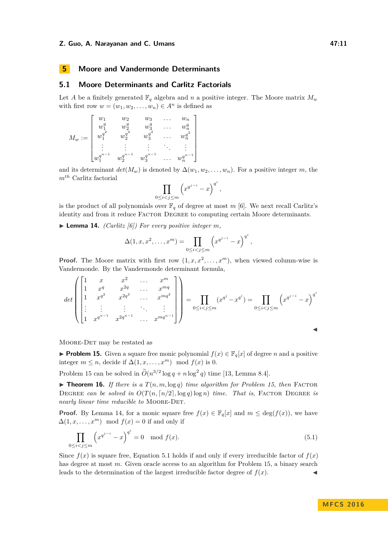#### **Z. Guo, A. Narayanan and C. Umans 47:11 12. And 47:11 47:11**

# <span id="page-10-0"></span>**5 Moore and Vandermonde Determinants**

# **5.1 Moore Determinants and Carlitz Factorials**

Let *A* be a finitely generated  $\mathbb{F}_q$  algebra and *n* a positive integer. The Moore matrix  $M_w$ with first row  $w = (w_1, w_2, \dots, w_n) \in A^n$  is defined as

$$
M_w:=\begin{bmatrix}w_1&w_2&w_3&\dots&w_n\\w_1^q&w_2^q&w_3^q&\dots&w_n^q\\w_1^{q^2}&w_2^{q^2}&w_3^{q^2}&\dots&w_n^{q^2}\\ \vdots&\vdots&\vdots&\ddots&\vdots\\w_1^{q^{n-1}}&w_2^{q^{n-1}}&w_3^{q^{n-1}}&\dots&w_n^{q^{n-1}}\end{bmatrix}
$$

and its determinant  $det(M_w)$  is denoted by  $\Delta(w_1, w_2, \ldots, w_n)$ . For a positive integer *m*, the *mth* Carlitz factorial

$$
\prod_{0\leq i
$$

is the product of all polynomials over  $\mathbb{F}_q$  of degree at most m [\[6\]](#page-12-18). We next recall Carlitz's identity and from it reduce FACTOR DEGREE to computing certain Moore determinants.

<span id="page-10-2"></span> $\blacktriangleright$  **Lemma 14.** *(Carlitz [\[6\]](#page-12-18)) For every positive integer m,* 

$$
\Delta(1, x, x^2, \dots, x^m) = \prod_{0 \le i < j \le m} \left( x^{q^{j-i}} - x \right)^{q^i},
$$

**Proof.** The Moore matrix with first row  $(1, x, x^2, \ldots, x^m)$ , when viewed column-wise is Vandermonde. By the Vandermonde determinant formula,

$$
\det \begin{pmatrix} 1 & x & x^2 & \dots & x^m \\ 1 & x^q & x^{2q} & \dots & x^{mq} \\ \vdots & \vdots & \vdots & \ddots & \vdots \\ 1 & x^{q^{n-1}} & x^{2q^{n-1}} & \dots & x^{mq^{n-1}} \end{pmatrix} = \prod_{0 \le i < j \le m} (x^{q^j} - x^{q^i}) = \prod_{0 \le i < j \le m} \left( x^{q^{j-i}} - x \right)^{q^i}
$$

Moore-Det may be restated as

<span id="page-10-1"></span>▶ **Problem 15.** Given a square free monic polynomial  $f(x) \in \mathbb{F}_q[x]$  of degree *n* and a positive integer  $m \leq n$ , decide if  $\Delta(1, x, \ldots, x^m) \mod f(x)$  is 0.

Problem [15](#page-10-1) can be solved in  $\widetilde{O}(n^{3/2} \log q + n \log^2 q)$  time [\[13,](#page-12-0) Lemma 8.4].

<span id="page-10-4"></span> $\triangleright$  **Theorem 16.** *If there is a*  $T(n, m, \log q)$  *time algorithm for Problem [15,](#page-10-1) then* FACTOR DEGREE can be solved in  $O(T(n, \lceil n/2 \rceil, \log q) \log n)$  time. That is, FACTOR DEGREE is *nearly linear time reducible to* MOORE-DET.

**Proof.** By Lemma [14,](#page-10-2) for a monic square free  $f(x) \in \mathbb{F}_q[x]$  and  $m \leq \deg(f(x))$ , we have  $\Delta(1, x, \ldots, x^m) \mod f(x) = 0$  if and only if

<span id="page-10-3"></span>
$$
\prod_{0 \le i < j \le m} \left( x^{q^{j-i}} - x \right)^{q^i} = 0 \mod f(x). \tag{5.1}
$$

Since  $f(x)$  is square free, Equation [5.1](#page-10-3) holds if and only if every irreducible factor of  $f(x)$ has degree at most *m*. Given oracle access to an algorithm for Problem [15,](#page-10-1) a binary search leads to the determination of the largest irreducible factor degree of  $f(x)$ .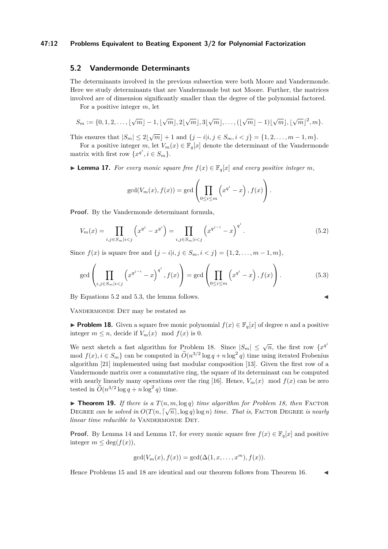#### **47:12 Problems Equivalent to Beating Exponent 3/2 for Polynomial Factorization**

## **5.2 Vandermonde Determinants**

The determinants involved in the previous subsection were both Moore and Vandermonde. Here we study determinants that are Vandermonde but not Moore. Further, the matrices involved are of dimension significantly smaller than the degree of the polynomial factored.

For a positive integer *m*, let

$$
S_m := \{0, 1, 2, \ldots, \lfloor \sqrt{m} \rfloor - 1, \lfloor \sqrt{m} \rfloor, 2\lfloor \sqrt{m} \rfloor, 3\lfloor \sqrt{m} \rfloor, \ldots, (\lfloor \sqrt{m} \rfloor - 1)\lfloor \sqrt{m} \rfloor, \lfloor \sqrt{m} \rfloor^2, m\}.
$$

This ensures that  $|S_m| \leq 2\lfloor \sqrt{m} \rfloor + 1$  and  $\{j - i | i, j \in S_m, i < j\} = \{1, 2, \ldots, m - 1, m\}.$ 

For a positive integer *m*, let  $V_m(x) \in \mathbb{F}_q[x]$  denote the determinant of the Vandermonde matrix with first row  $\{x^{q^i}, i \in S_m\}.$ 

<span id="page-11-3"></span>▶ **Lemma 17.** *For every monic square free*  $f(x) \in \mathbb{F}_q[x]$  *and every positive integer m*,

<span id="page-11-1"></span><span id="page-11-0"></span>
$$
\gcd(V_m(x), f(x)) = \gcd\left(\prod_{0 \le i \le m} \left(x^{q^i} - x\right), f(x)\right).
$$

**Proof.** By the Vandermonde determinant formula,

$$
V_m(x) = \prod_{i,j \in S_m | i < j} \left( x^{q^j} - x^{q^i} \right) = \prod_{i,j \in S_m | i < j} \left( x^{q^{j-i}} - x \right)^{q^i} . \tag{5.2}
$$

Since  $f(x)$  is square free and  $\{j - i | i, j \in S_m, i < j\} = \{1, 2, \ldots, m - 1, m\},\$ 

$$
\gcd\left(\prod_{i,j\in S_m|i
$$

By Equations [5.2](#page-11-0) and [5.3,](#page-11-1) the lemma follows.

VANDERMONDE DET may be restated as

<span id="page-11-2"></span>**Problem 18.** Given a square free monic polynomial  $f(x) \in \mathbb{F}_q[x]$  of degree *n* and a positive integer  $m \leq n$ , decide if  $V_m(x) \mod f(x)$  is 0.

We next sketch a fast algorithm for Problem [18.](#page-11-2) Since  $|S_m| \leq \sqrt{n}$ , the first row  $\{x^{q^i}\}$ mod  $f(x), i \in S_m$  can be computed in  $\tilde{O}(n^{3/2} \log q + n \log^2 q)$  time using iterated Frobenius algorithm [\[21\]](#page-12-11) implemented using fast modular composition [\[13\]](#page-12-0). Given the first row of a Vandermonde matrix over a commutative ring, the square of its determinant can be computed with nearly linearly many operations over the ring [\[16\]](#page-12-21). Hence,  $V_m(x)$  mod  $f(x)$  can be zero tested in  $\widetilde{O}(n^{3/2} \log q + n \log^2 q)$  time.

▶ **Theorem 19.** *If there is a*  $T(n, m, \log q)$  *time algorithm for Problem [18,](#page-11-2) then* FACTOR DEGREE *can be solved in*  $O(T(n, \lceil \sqrt{n} \rceil, \log q) \log n)$  *time. That is,* FACTOR DEGREE *is nearly linear time reducible to* VANDERMONDE DET.

**Proof.** By Lemma [14](#page-10-2) and Lemma [17,](#page-11-3) for every monic square free  $f(x) \in \mathbb{F}_q[x]$  and positive integer  $m \leq \deg(f(x))$ ,

$$
\gcd(V_m(x), f(x)) = \gcd(\Delta(1, x, \dots, x^m), f(x)).
$$

Hence Problems [15](#page-10-1) and [18](#page-11-2) are identical and our theorem follows from Theorem [16.](#page-10-4)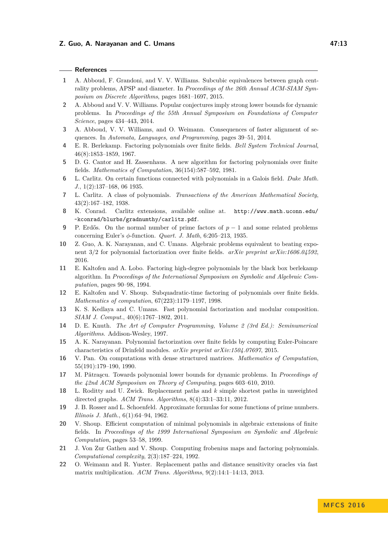#### **References**

- <span id="page-12-2"></span>**1** A. Abboud, F. Grandoni, and V. V. Williams. Subcubic equivalences between graph centrality problems, APSP and diameter. In *Proceedings of the 26th Annual ACM-SIAM Symposium on Discrete Algorithms*, pages 1681–1697, 2015.
- <span id="page-12-3"></span>**2** A. Abboud and V. V. Williams. Popular conjectures imply strong lower bounds for dynamic problems. In *Proceedings of the 55th Annual Symposium on Foundations of Computer Science*, pages 434–443, 2014.
- <span id="page-12-4"></span>**3** A. Abboud, V. V. Williams, and O. Weimann. Consequences of faster alignment of sequences. In *Automata, Languages, and Programming*, pages 39–51, 2014.
- <span id="page-12-9"></span>**4** E. R. Berlekamp. Factoring polynomials over finite fields. *Bell System Technical Journal*, 46(8):1853–1859, 1967.
- <span id="page-12-10"></span>**5** D. G. Cantor and H. Zassenhaus. A new algorithm for factoring polynomials over finite fields. *Mathematics of Computation*, 36(154):587–592, 1981.
- <span id="page-12-18"></span>**6** L. Carlitz. On certain functions connected with polynomials in a Galois field. *Duke Math. J.*, 1(2):137–168, 06 1935.
- <span id="page-12-19"></span>**7** L. Carlitz. A class of polynomials. *Transactions of the American Mathematical Society*, 43(2):167–182, 1938.
- <span id="page-12-20"></span>**8** K. Conrad. Carlitz extensions, available online at. [http://www.math.uconn.edu/](http://www.math.uconn.edu/~kconrad/blurbs/gradnumthy/carlitz.pdf) [~kconrad/blurbs/gradnumthy/carlitz.pdf](http://www.math.uconn.edu/~kconrad/blurbs/gradnumthy/carlitz.pdf).
- <span id="page-12-17"></span>**9** P. Erdős. On the normal number of prime factors of  $p-1$  and some related problems concerning Euler's *φ*-function. *Quart. J. Math*, 6:205–213, 1935.
- <span id="page-12-15"></span>**10** Z. Guo, A. K. Narayanan, and C. Umans. Algebraic problems equivalent to beating exponent 3/2 for polynomial factorization over finite fields. *arXiv preprint arXiv:1606.04592*, 2016.
- <span id="page-12-13"></span>**11** E. Kaltofen and A. Lobo. Factoring high-degree polynomials by the black box berlekamp algorithm. In *Proceedings of the International Symposium on Symbolic and Algebraic Computation*, pages 90–98, 1994.
- <span id="page-12-1"></span>**12** E. Kaltofen and V. Shoup. Subquadratic-time factoring of polynomials over finite fields. *Mathematics of computation*, 67(223):1179–1197, 1998.
- <span id="page-12-0"></span>**13** K. S. Kedlaya and C. Umans. Fast polynomial factorization and modular composition. *SIAM J. Comput.*, 40(6):1767–1802, 2011.
- <span id="page-12-8"></span>**14** D. E. Knuth. *The Art of Computer Programming, Volume 2 (3rd Ed.): Seminumerical Algorithms*. Addison-Wesley, 1997.
- <span id="page-12-12"></span>**15** A. K. Narayanan. Polynomial factorization over finite fields by computing Euler-Poincare characteristics of Drinfeld modules. *arXiv preprint arXiv:1504.07697*, 2015.
- <span id="page-12-21"></span>**16** V. Pan. On computations with dense structured matrices. *Mathematics of Computation*, 55(191):179–190, 1990.
- <span id="page-12-5"></span>**17** M. Pǎtrascu. Towards polynomial lower bounds for dynamic problems. In *Proceedings of the 42nd ACM Symposium on Theory of Computing*, pages 603–610, 2010.
- <span id="page-12-6"></span>**18** L. Roditty and U. Zwick. Replacement paths and *k* simple shortest paths in unweighted directed graphs. *ACM Trans. Algorithms*, 8(4):33:1–33:11, 2012.
- <span id="page-12-14"></span>**19** J. B. Rosser and L. Schoenfeld. Approximate formulas for some functions of prime numbers. *Illinois J. Math.*, 6(1):64–94, 1962.
- <span id="page-12-16"></span>**20** V. Shoup. Efficient computation of minimal polynomials in algebraic extensions of finite fields. In *Proceedings of the 1999 International Symposium on Symbolic and Algebraic Computation*, pages 53–58, 1999.
- <span id="page-12-11"></span>**21** J. Von Zur Gathen and V. Shoup. Computing frobenius maps and factoring polynomials. *Computational complexity*, 2(3):187–224, 1992.
- <span id="page-12-7"></span>**22** O. Weimann and R. Yuster. Replacement paths and distance sensitivity oracles via fast matrix multiplication. *ACM Trans. Algorithms*, 9(2):14:1–14:13, 2013.